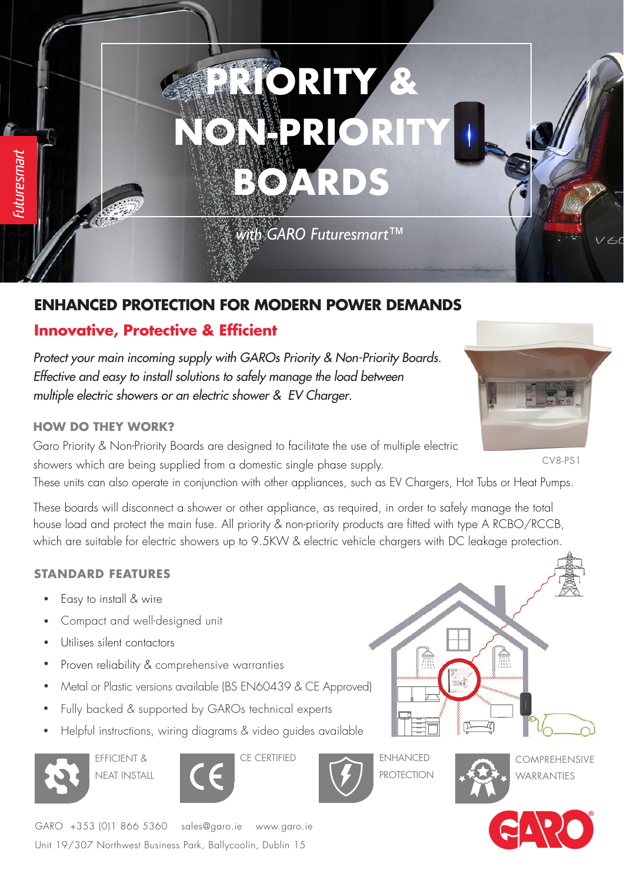

## **ENHANCED PROTECTION FOR MODERN POWER DEMANDS**

# **Innovative, Protective & Efficient**

*Protect your main incoming supply with GAROs Priority & Non-Priority Boards. Effective and easy to install solutions to safely manage the load between multiple electric showers or an electric shower & EV Charger.*

### **HOW DO THEY WORK?**

Garo Priority & Non-Priority Boards are designed to facilitate the use of multiple electric showers which are being supplied from a domestic single phase supply. These units can also operate in conjunction with other appliances, such as EV Chargers, Hot Tubs or Heat Pumps.

These boards will disconnect a shower or other appliance, as required, in order to safely manage the total house load and protect the main fuse. All priority & non-priority products are fitted with type A RCBO/RCCB, which are suitable for electric showers up to 9.5KW & electric vehicle chargers with DC leakage protection.

## **STANDARD FEATURES**

- Easy to install & wire •
- Compact and well-designed unit •
- Utilises silent contactors •
- Proven reliability & comprehensive warranties •
- Metal or Plastic versions available (BS EN60439 & CE Approved) •
- Fully backed & supported by GAROs technical experts •
- Helpful instructions, wiring diagrams & video guides available •

![](_page_0_Picture_15.jpeg)

EFFICIENT & NEAT INSTALL

![](_page_0_Picture_17.jpeg)

![](_page_0_Picture_19.jpeg)

PROTECTION

![](_page_0_Picture_21.jpeg)

CV8-PS1

![](_page_0_Picture_23.jpeg)

**COMPREHENSIVE** WARRANTIES

![](_page_0_Picture_25.jpeg)

GARO +353 (0)1 866 5360 sales@garo.ie www.garo.ie Unit 19/307 Northwest Business Park, Ballycoolin, Dublin 15